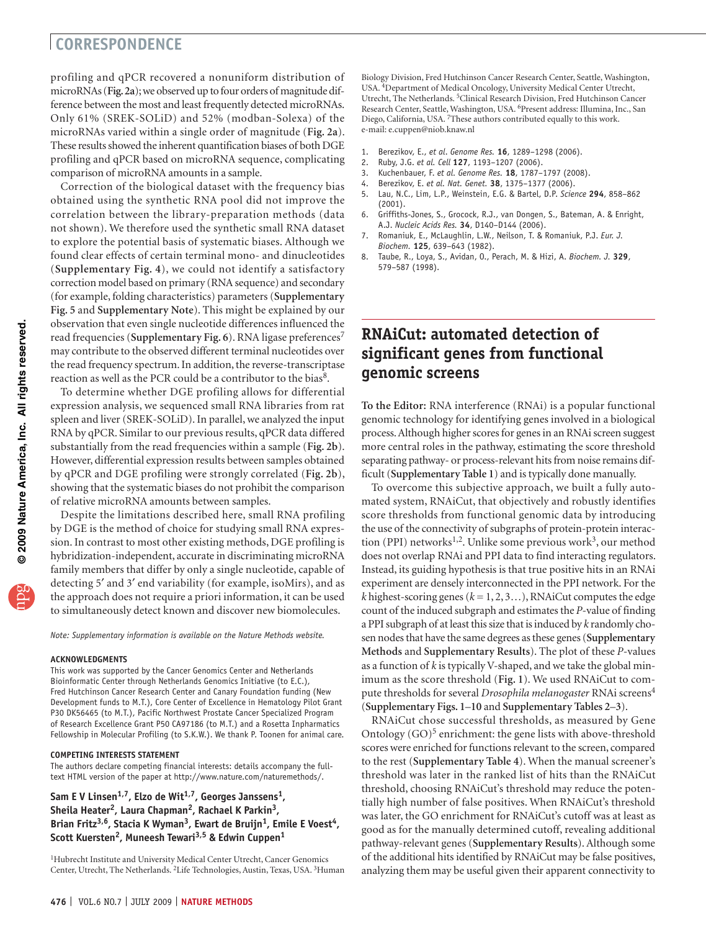## **correspondEnce**

profiling and qPCR recovered a nonuniform distribution of microRNAs (**Fig. 2a**); we observed up to four orders of magnitude difference between the most and least frequently detected microRNAs. Only 61% (SREK-SOLiD) and 52% (modban-Solexa) of the microRNAs varied within a single order of magnitude (**Fig. 2a**). These results showed the inherent quantification biases of both DGE profiling and qPCR based on microRNA sequence, complicating comparison of microRNA amounts in a sample.

Correction of the biological dataset with the frequency bias obtained using the synthetic RNA pool did not improve the correlation between the library-preparation methods (data not shown). We therefore used the synthetic small RNA dataset to explore the potential basis of systematic biases. Although we found clear effects of certain terminal mono- and dinucleotides (**Supplementary Fig. 4**), we could not identify a satisfactory correction model based on primary (RNA sequence) and secondary (for example, folding characteristics) parameters (**Supplementary Fig. 5** and **Supplementary Note**). This might be explained by our observation that even single nucleotide differences influenced the read frequencies (**Supplementary Fig. 6**). RNA ligase preferences<sup>7</sup> may contribute to the observed different terminal nucleotides over the read frequency spectrum. In addition, the reverse-transcriptase reaction as well as the PCR could be a contributor to the bias<sup>8</sup>.

To determine whether DGE profiling allows for differential expression analysis, we sequenced small RNA libraries from rat spleen and liver (SREK-SOLiD). In parallel, we analyzed the input RNA by qPCR. Similar to our previous results, qPCR data differed substantially from the read frequencies within a sample (**Fig. 2b**). However, differential expression results between samples obtained by qPCR and DGE profiling were strongly correlated (**Fig. 2b**), showing that the systematic biases do not prohibit the comparison of relative microRNA amounts between samples.

Despite the limitations described here, small RNA profiling by DGE is the method of choice for studying small RNA expression. In contrast to most other existing methods, DGE profiling is hybridization-independent, accurate in discriminating microRNA family members that differ by only a single nucleotide, capable of detecting 5′ and 3′ end variability (for example, isoMirs), and as the approach does not require a priori information, it can be used to simultaneously detect known and discover new biomolecules.

*Note: Supplementary information is available on the [Nature Methods](http://www.nature.com/naturemethods/) website.*

#### **ACKNOWLEDGMENTS**

This work was supported by the Cancer Genomics Center and Netherlands Bioinformatic Center through Netherlands Genomics Initiative (to E.C.), Fred Hutchinson Cancer Research Center and Canary Foundation funding (New Development funds to M.T.), Core Center of Excellence in Hematology Pilot Grant P30 DK56465 (to M.T.), Pacific Northwest Prostate Cancer Specialized Program of Research Excellence Grant P50 CA97186 (to M.T.) and a Rosetta Inpharmatics Fellowship in Molecular Profiling (to S.K.W.). We thank P. Toonen for animal care.

### **COMPETING INTERESTS STATEMENT**

The authors declare competing financial interests: details accompany the fulltext HTML version of the paper at<http://www.nature.com/naturemethods/>.

### Sam E V Linsen<sup>1,7</sup>, Elzo de Wit<sup>1,7</sup>, Georges Janssens<sup>1</sup>, Sheila Heater<sup>2</sup>, Laura Chapman<sup>2</sup>, Rachael K Parkin<sup>3</sup>, Brian Fritz<sup>3,6</sup>, Stacia K Wyman<sup>3</sup>, Ewart de Bruijn<sup>1</sup>, Emile E Voest<sup>4</sup>, **Scott Kuersten2, Muneesh Tewari3,5 & Edwin Cuppen1**

<sup>1</sup>Hubrecht Institute and University Medical Center Utrecht, Cancer Genomics Center, Utrecht, The Netherlands. 2Life Technologies, Austin, Texas, USA. 3Human

Biology Division, Fred Hutchinson Cancer Research Center, Seattle, Washington, USA. 4Department of Medical Oncology, University Medical Center Utrecht, Utrecht, The Netherlands. 5Clinical Research Division, Fred Hutchinson Cancer Research Center, Seattle, Washington, USA. 6Present address: Illumina, Inc., San Diego, California, USA. 7These authors contributed equally to this work. e-mail: [e.cuppen@niob.knaw.nl](mailto:perrimon@receptor.med.harvard.edu)

- 1. Berezikov, E., *et al*. *Genome Res.* **16**, 1289–1298 (2006).
- 2. Ruby, J.G. *et al. Cell* **127**, 1193–1207 (2006).
- 3. Kuchenbauer, F. *et al. Genome Res.* **18**, 1787–1797 (2008).
- 4. Berezikov, E. *et al. Nat. Genet.* **38**, 1375–1377 (2006).
- 5. Lau, N.C., Lim, L.P., Weinstein, E.G. & Bartel, D.P. *Science* **294**, 858–862 (2001).
- 6. Griffiths-Jones, S., Grocock, R.J., van Dongen, S., Bateman, A. & Enright, A.J. *Nucleic Acids Res.* **34**, D140–D144 (2006).
- 7. Romaniuk, E., McLaughlin, L.W., Neilson, T. & Romaniuk, P.J. *Eur. J. Biochem.* **125**, 639–643 (1982).
- 8. Taube, R., Loya, S., Avidan, O., Perach, M. & Hizi, A. *Biochem. J.* **329**, 579–587 (1998).

# **RNAiCut: automated detection of significant genes from functional genomic screens**

**To the Editor:** RNA interference (RNAi) is a popular functional genomic technology for identifying genes involved in a biological process. Although higher scores for genes in an RNAi screen suggest more central roles in the pathway, estimating the score threshold separating pathway- or process-relevant hits from noise remains difficult (**Supplementary Table 1**) and is typically done manually.

To overcome this subjective approach, we built a fully automated system, RNAiCut, that objectively and robustly identifies score thresholds from functional genomic data by introducing the use of the connectivity of subgraphs of protein-protein interaction (PPI) networks<sup>1,2</sup>. Unlike some previous work<sup>3</sup>, our method does not overlap RNAi and PPI data to find interacting regulators. Instead, its guiding hypothesis is that true positive hits in an RNAi experiment are densely interconnected in the PPI network. For the *k* highest-scoring genes ( $k = 1, 2, 3...$ ), RNAiCut computes the edge count of the induced subgraph and estimates the *P*-value of finding a PPI subgraph of at least this size that is induced by *k* randomly chosen nodes that have the same degrees as these genes (**Supplementary Methods** and **Supplementary Results**). The plot of these *P*-values as a function of *k* is typically V-shaped, and we take the global minimum as the score threshold (**Fig. 1**). We used RNAiCut to compute thresholds for several *Drosophila melanogaster* RNAi screens4 (**Supplementary Figs. 1**–**10** and **Supplementary Tables 2**–**3**).

RNAiCut chose successful thresholds, as measured by Gene Ontology  $(GO)^5$  enrichment: the gene lists with above-threshold scores were enriched for functions relevant to the screen, compared to the rest (**Supplementary Table 4**). When the manual screener's threshold was later in the ranked list of hits than the RNAiCut threshold, choosing RNAiCut's threshold may reduce the potentially high number of false positives. When RNAiCut's threshold was later, the GO enrichment for RNAiCut's cutoff was at least as good as for the manually determined cutoff, revealing additional pathway-relevant genes (**Supplementary Results**). Although some of the additional hits identified by RNAiCut may be false positives, analyzing them may be useful given their apparent connectivity to